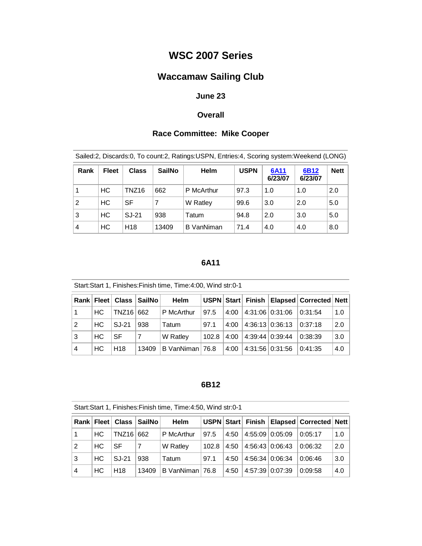## **WSC 2007 Series**

# **Waccamaw Sailing Club**

## **June 23**

#### **Overall**

## **Race Committee: Mike Cooper**

| Sailed:2, Discards:0, To count:2, Ratings:USPN, Entries:4, Scoring system:Weekend (LONG) |              |                 |               |             |             |                        |                 |             |
|------------------------------------------------------------------------------------------|--------------|-----------------|---------------|-------------|-------------|------------------------|-----------------|-------------|
| Rank                                                                                     | <b>Fleet</b> | <b>Class</b>    | <b>SailNo</b> | <b>Helm</b> | <b>USPN</b> | <b>6A11</b><br>6/23/07 | 6B12<br>6/23/07 | <b>Nett</b> |
|                                                                                          | HC           | TNZ16           | 662           | P McArthur  | 97.3        | 1.0                    | 1.0             | 2.0         |
| 2                                                                                        | <b>HC</b>    | <b>SF</b>       | 7             | W Ratley    | 99.6        | 3.0                    | 2.0             | 5.0         |
| 3                                                                                        | <b>HC</b>    | SJ-21           | 938           | Tatum       | 94.8        | 2.0                    | 3.0             | 5.0         |
| 4                                                                                        | <b>HC</b>    | H <sub>18</sub> | 13409         | B VanNiman  | 71.4        | 4.0                    | 4.0             | 8.0         |

## **6A11**

|                |     |                 | Rank   Fleet   Class   SailNo | <b>Helm</b>     |       |      |                             | USPN Start   Finish   Elapsed   Corrected   Nett |     |
|----------------|-----|-----------------|-------------------------------|-----------------|-------|------|-----------------------------|--------------------------------------------------|-----|
|                | HC  | TNZ16   662     |                               | P McArthur      | 97.5  | 4:00 | 4:31:06   0:31:06   0:31:54 |                                                  | 1.0 |
| 2              | HC. | SJ-21           | 938                           | Tatum           | 97.1  | 4:00 | 4:36:13 0:36:13             | 0:37:18                                          | 2.0 |
| 3              | HC  | SF              |                               | W Ratley        | 102.8 | 4:00 | 4:39:44   0:39:44           | 0:38:39                                          | 3.0 |
| $\overline{4}$ | HC. | H <sub>18</sub> | 13409                         | B VanNiman 76.8 |       | 4:00 | 4:31:56   0:31:56           | 10:41:35                                         | 4.0 |

#### **6B12**

| Start: Start 1, Finishes: Finish time, Time: 4:50, Wind str: 0-1 |     |                 |                               |                 |       |      |                 |                        |                                          |     |
|------------------------------------------------------------------|-----|-----------------|-------------------------------|-----------------|-------|------|-----------------|------------------------|------------------------------------------|-----|
|                                                                  |     |                 | Rank   Fleet   Class   SailNo | <b>Helm</b>     |       |      |                 |                        | USPN Start Finish Elapsed Corrected Nett |     |
|                                                                  | HC. | TNZ16 662       |                               | P McArthur      | 97.5  | 4:50 |                 | 4:55:09   0:05:09      | 0:05:17                                  | 1.0 |
| $\mathfrak{p}$                                                   | HC  | SF              | 7                             | W Ratley        | 102.8 | 4:50 | 4:56:43 0:06:43 |                        | 0:06:32                                  | 2.0 |
| 3                                                                | HC. | SJ-21           | 938                           | Tatum           | 97.1  | 4:50 |                 | $4:56:34 \mid 0:06:34$ | 0:06:46                                  | 3.0 |
| 4                                                                | HC  | H <sub>18</sub> | 13409                         | B VanNiman 76.8 |       | 4:50 |                 | 4:57:39   0:07:39      | 0:09:58                                  | 4.0 |